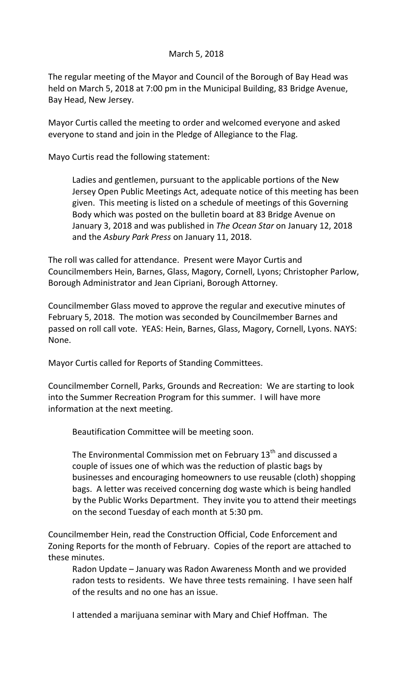## March 5, 2018

The regular meeting of the Mayor and Council of the Borough of Bay Head was held on March 5, 2018 at 7:00 pm in the Municipal Building, 83 Bridge Avenue, Bay Head, New Jersey.

Mayor Curtis called the meeting to order and welcomed everyone and asked everyone to stand and join in the Pledge of Allegiance to the Flag.

Mayo Curtis read the following statement:

Ladies and gentlemen, pursuant to the applicable portions of the New Jersey Open Public Meetings Act, adequate notice of this meeting has been given. This meeting is listed on a schedule of meetings of this Governing Body which was posted on the bulletin board at 83 Bridge Avenue on January 3, 2018 and was published in *The Ocean Star* on January 12, 2018 and the *Asbury Park Press* on January 11, 2018.

The roll was called for attendance. Present were Mayor Curtis and Councilmembers Hein, Barnes, Glass, Magory, Cornell, Lyons; Christopher Parlow, Borough Administrator and Jean Cipriani, Borough Attorney.

Councilmember Glass moved to approve the regular and executive minutes of February 5, 2018. The motion was seconded by Councilmember Barnes and passed on roll call vote. YEAS: Hein, Barnes, Glass, Magory, Cornell, Lyons. NAYS: None.

Mayor Curtis called for Reports of Standing Committees.

Councilmember Cornell, Parks, Grounds and Recreation: We are starting to look into the Summer Recreation Program for this summer. I will have more information at the next meeting.

Beautification Committee will be meeting soon.

The Environmental Commission met on February 13<sup>th</sup> and discussed a couple of issues one of which was the reduction of plastic bags by businesses and encouraging homeowners to use reusable (cloth) shopping bags. A letter was received concerning dog waste which is being handled by the Public Works Department. They invite you to attend their meetings on the second Tuesday of each month at 5:30 pm.

Councilmember Hein, read the Construction Official, Code Enforcement and Zoning Reports for the month of February. Copies of the report are attached to these minutes.

Radon Update – January was Radon Awareness Month and we provided radon tests to residents. We have three tests remaining. I have seen half of the results and no one has an issue.

I attended a marijuana seminar with Mary and Chief Hoffman. The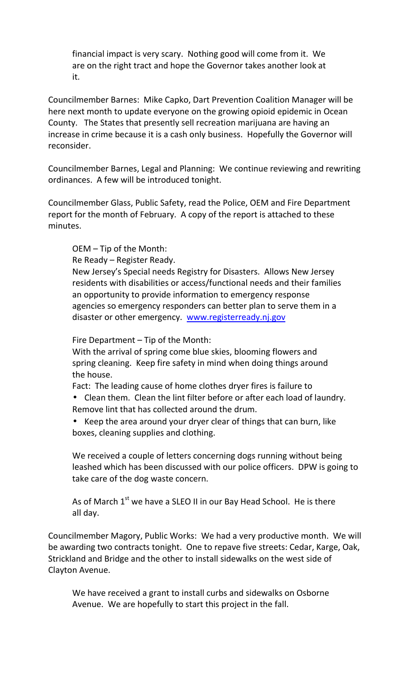financial impact is very scary. Nothing good will come from it. We are on the right tract and hope the Governor takes another look at it.

Councilmember Barnes: Mike Capko, Dart Prevention Coalition Manager will be here next month to update everyone on the growing opioid epidemic in Ocean County. The States that presently sell recreation marijuana are having an increase in crime because it is a cash only business. Hopefully the Governor will reconsider.

Councilmember Barnes, Legal and Planning: We continue reviewing and rewriting ordinances. A few will be introduced tonight.

Councilmember Glass, Public Safety, read the Police, OEM and Fire Department report for the month of February. A copy of the report is attached to these minutes.

OEM – Tip of the Month:

Re Ready – Register Ready.

New Jersey's Special needs Registry for Disasters. Allows New Jersey residents with disabilities or access/functional needs and their families an opportunity to provide information to emergency response agencies so emergency responders can better plan to serve them in a disaster or other emergency. www.registerready.nj.gov

Fire Department – Tip of the Month:

With the arrival of spring come blue skies, blooming flowers and spring cleaning. Keep fire safety in mind when doing things around the house.

Fact: The leading cause of home clothes dryer fires is failure to

 Clean them. Clean the lint filter before or after each load of laundry. Remove lint that has collected around the drum.

 Keep the area around your dryer clear of things that can burn, like boxes, cleaning supplies and clothing.

We received a couple of letters concerning dogs running without being leashed which has been discussed with our police officers. DPW is going to take care of the dog waste concern.

As of March 1<sup>st</sup> we have a SLEO II in our Bay Head School. He is there all day.

Councilmember Magory, Public Works: We had a very productive month. We will be awarding two contracts tonight. One to repave five streets: Cedar, Karge, Oak, Strickland and Bridge and the other to install sidewalks on the west side of Clayton Avenue.

We have received a grant to install curbs and sidewalks on Osborne Avenue. We are hopefully to start this project in the fall.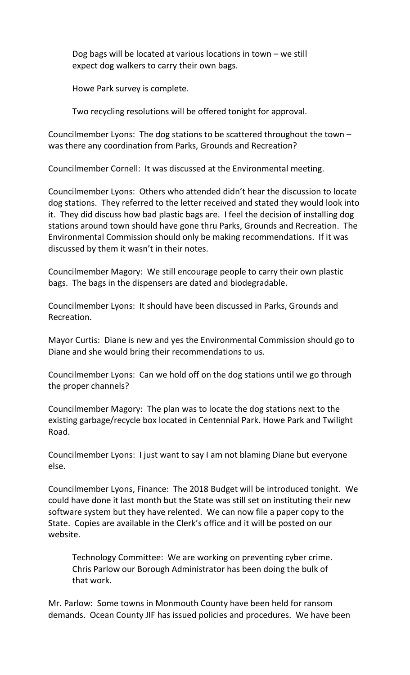Dog bags will be located at various locations in town – we still expect dog walkers to carry their own bags.

Howe Park survey is complete.

Two recycling resolutions will be offered tonight for approval.

Councilmember Lyons: The dog stations to be scattered throughout the town – was there any coordination from Parks, Grounds and Recreation?

Councilmember Cornell: It was discussed at the Environmental meeting.

Councilmember Lyons: Others who attended didn't hear the discussion to locate dog stations. They referred to the letter received and stated they would look into it. They did discuss how bad plastic bags are. I feel the decision of installing dog stations around town should have gone thru Parks, Grounds and Recreation. The Environmental Commission should only be making recommendations. If it was discussed by them it wasn't in their notes.

Councilmember Magory: We still encourage people to carry their own plastic bags. The bags in the dispensers are dated and biodegradable.

Councilmember Lyons: It should have been discussed in Parks, Grounds and Recreation.

Mayor Curtis: Diane is new and yes the Environmental Commission should go to Diane and she would bring their recommendations to us.

Councilmember Lyons: Can we hold off on the dog stations until we go through the proper channels?

Councilmember Magory: The plan was to locate the dog stations next to the existing garbage/recycle box located in Centennial Park. Howe Park and Twilight Road.

Councilmember Lyons: I just want to say I am not blaming Diane but everyone else.

Councilmember Lyons, Finance: The 2018 Budget will be introduced tonight. We could have done it last month but the State was still set on instituting their new software system but they have relented. We can now file a paper copy to the State. Copies are available in the Clerk's office and it will be posted on our website.

Technology Committee: We are working on preventing cyber crime. Chris Parlow our Borough Administrator has been doing the bulk of that work.

Mr. Parlow: Some towns in Monmouth County have been held for ransom demands. Ocean County JIF has issued policies and procedures. We have been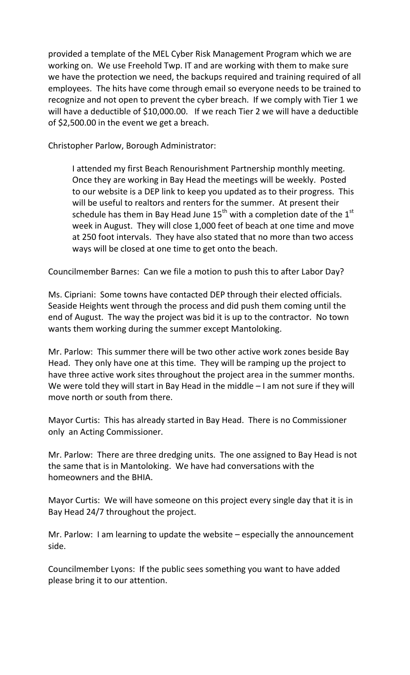provided a template of the MEL Cyber Risk Management Program which we are working on. We use Freehold Twp. IT and are working with them to make sure we have the protection we need, the backups required and training required of all employees. The hits have come through email so everyone needs to be trained to recognize and not open to prevent the cyber breach. If we comply with Tier 1 we will have a deductible of \$10,000.00. If we reach Tier 2 we will have a deductible of \$2,500.00 in the event we get a breach.

Christopher Parlow, Borough Administrator:

I attended my first Beach Renourishment Partnership monthly meeting. Once they are working in Bay Head the meetings will be weekly. Posted to our website is a DEP link to keep you updated as to their progress. This will be useful to realtors and renters for the summer. At present their schedule has them in Bay Head June  $15^{th}$  with a completion date of the  $1^{st}$ week in August. They will close 1,000 feet of beach at one time and move at 250 foot intervals. They have also stated that no more than two access ways will be closed at one time to get onto the beach.

Councilmember Barnes: Can we file a motion to push this to after Labor Day?

Ms. Cipriani: Some towns have contacted DEP through their elected officials. Seaside Heights went through the process and did push them coming until the end of August. The way the project was bid it is up to the contractor. No town wants them working during the summer except Mantoloking.

Mr. Parlow: This summer there will be two other active work zones beside Bay Head. They only have one at this time. They will be ramping up the project to have three active work sites throughout the project area in the summer months. We were told they will start in Bay Head in the middle – I am not sure if they will move north or south from there.

Mayor Curtis: This has already started in Bay Head. There is no Commissioner only an Acting Commissioner.

Mr. Parlow: There are three dredging units. The one assigned to Bay Head is not the same that is in Mantoloking. We have had conversations with the homeowners and the BHIA.

Mayor Curtis: We will have someone on this project every single day that it is in Bay Head 24/7 throughout the project.

Mr. Parlow: I am learning to update the website – especially the announcement side.

Councilmember Lyons: If the public sees something you want to have added please bring it to our attention.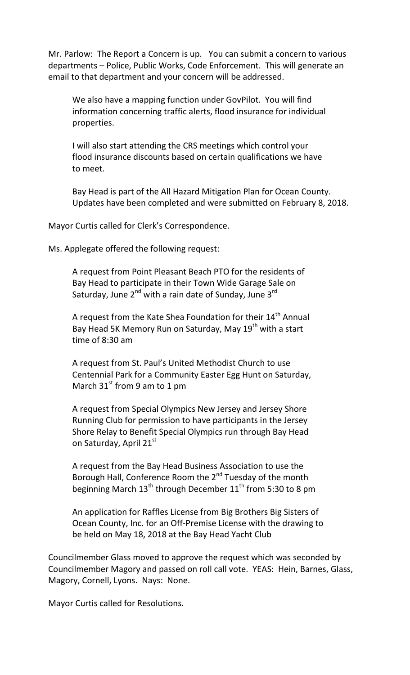Mr. Parlow: The Report a Concern is up. You can submit a concern to various departments – Police, Public Works, Code Enforcement. This will generate an email to that department and your concern will be addressed.

We also have a mapping function under GovPilot. You will find information concerning traffic alerts, flood insurance for individual properties.

I will also start attending the CRS meetings which control your flood insurance discounts based on certain qualifications we have to meet.

Bay Head is part of the All Hazard Mitigation Plan for Ocean County. Updates have been completed and were submitted on February 8, 2018.

Mayor Curtis called for Clerk's Correspondence.

Ms. Applegate offered the following request:

A request from Point Pleasant Beach PTO for the residents of Bay Head to participate in their Town Wide Garage Sale on Saturday, June 2<sup>nd</sup> with a rain date of Sunday, June 3<sup>rd</sup>

A request from the Kate Shea Foundation for their  $14<sup>th</sup>$  Annual Bay Head 5K Memory Run on Saturday, May 19<sup>th</sup> with a start time of 8:30 am

A request from St. Paul's United Methodist Church to use Centennial Park for a Community Easter Egg Hunt on Saturday, March  $31^{st}$  from 9 am to 1 pm

A request from Special Olympics New Jersey and Jersey Shore Running Club for permission to have participants in the Jersey Shore Relay to Benefit Special Olympics run through Bay Head on Saturday, April 21st

A request from the Bay Head Business Association to use the Borough Hall, Conference Room the 2<sup>nd</sup> Tuesday of the month beginning March  $13<sup>th</sup>$  through December  $11<sup>th</sup>$  from 5:30 to 8 pm

An application for Raffles License from Big Brothers Big Sisters of Ocean County, Inc. for an Off-Premise License with the drawing to be held on May 18, 2018 at the Bay Head Yacht Club

Councilmember Glass moved to approve the request which was seconded by Councilmember Magory and passed on roll call vote. YEAS: Hein, Barnes, Glass, Magory, Cornell, Lyons. Nays: None.

Mayor Curtis called for Resolutions.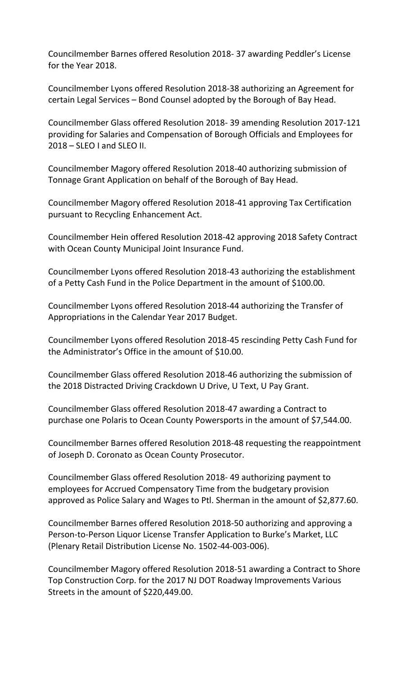Councilmember Barnes offered Resolution 2018- 37 awarding Peddler's License for the Year 2018.

Councilmember Lyons offered Resolution 2018-38 authorizing an Agreement for certain Legal Services – Bond Counsel adopted by the Borough of Bay Head.

Councilmember Glass offered Resolution 2018- 39 amending Resolution 2017-121 providing for Salaries and Compensation of Borough Officials and Employees for 2018 – SLEO I and SLEO II.

Councilmember Magory offered Resolution 2018-40 authorizing submission of Tonnage Grant Application on behalf of the Borough of Bay Head.

Councilmember Magory offered Resolution 2018-41 approving Tax Certification pursuant to Recycling Enhancement Act.

Councilmember Hein offered Resolution 2018-42 approving 2018 Safety Contract with Ocean County Municipal Joint Insurance Fund.

Councilmember Lyons offered Resolution 2018-43 authorizing the establishment of a Petty Cash Fund in the Police Department in the amount of \$100.00.

Councilmember Lyons offered Resolution 2018-44 authorizing the Transfer of Appropriations in the Calendar Year 2017 Budget.

Councilmember Lyons offered Resolution 2018-45 rescinding Petty Cash Fund for the Administrator's Office in the amount of \$10.00.

Councilmember Glass offered Resolution 2018-46 authorizing the submission of the 2018 Distracted Driving Crackdown U Drive, U Text, U Pay Grant.

Councilmember Glass offered Resolution 2018-47 awarding a Contract to purchase one Polaris to Ocean County Powersports in the amount of \$7,544.00.

Councilmember Barnes offered Resolution 2018-48 requesting the reappointment of Joseph D. Coronato as Ocean County Prosecutor.

Councilmember Glass offered Resolution 2018- 49 authorizing payment to employees for Accrued Compensatory Time from the budgetary provision approved as Police Salary and Wages to Ptl. Sherman in the amount of \$2,877.60.

Councilmember Barnes offered Resolution 2018-50 authorizing and approving a Person-to-Person Liquor License Transfer Application to Burke's Market, LLC (Plenary Retail Distribution License No. 1502-44-003-006).

Councilmember Magory offered Resolution 2018-51 awarding a Contract to Shore Top Construction Corp. for the 2017 NJ DOT Roadway Improvements Various Streets in the amount of \$220,449.00.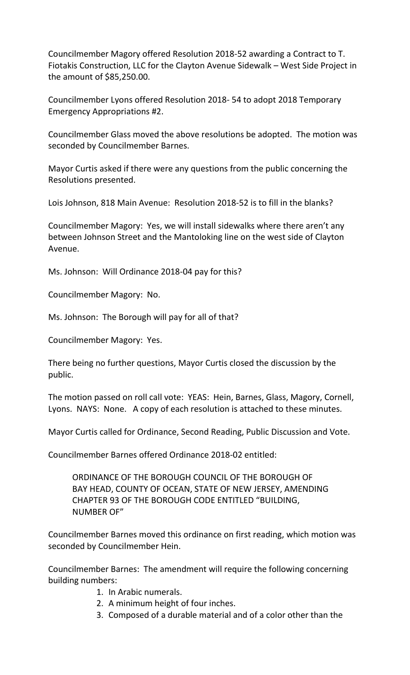Councilmember Magory offered Resolution 2018-52 awarding a Contract to T. Fiotakis Construction, LLC for the Clayton Avenue Sidewalk – West Side Project in the amount of \$85,250.00.

Councilmember Lyons offered Resolution 2018- 54 to adopt 2018 Temporary Emergency Appropriations #2.

Councilmember Glass moved the above resolutions be adopted. The motion was seconded by Councilmember Barnes.

Mayor Curtis asked if there were any questions from the public concerning the Resolutions presented.

Lois Johnson, 818 Main Avenue: Resolution 2018-52 is to fill in the blanks?

Councilmember Magory: Yes, we will install sidewalks where there aren't any between Johnson Street and the Mantoloking line on the west side of Clayton Avenue.

Ms. Johnson: Will Ordinance 2018-04 pay for this?

Councilmember Magory: No.

Ms. Johnson: The Borough will pay for all of that?

Councilmember Magory: Yes.

There being no further questions, Mayor Curtis closed the discussion by the public.

The motion passed on roll call vote: YEAS: Hein, Barnes, Glass, Magory, Cornell, Lyons. NAYS: None. A copy of each resolution is attached to these minutes.

Mayor Curtis called for Ordinance, Second Reading, Public Discussion and Vote.

Councilmember Barnes offered Ordinance 2018-02 entitled:

ORDINANCE OF THE BOROUGH COUNCIL OF THE BOROUGH OF BAY HEAD, COUNTY OF OCEAN, STATE OF NEW JERSEY, AMENDING CHAPTER 93 OF THE BOROUGH CODE ENTITLED "BUILDING, NUMBER OF"

Councilmember Barnes moved this ordinance on first reading, which motion was seconded by Councilmember Hein.

Councilmember Barnes: The amendment will require the following concerning building numbers:

- 1. In Arabic numerals.
- 2. A minimum height of four inches.
- 3. Composed of a durable material and of a color other than the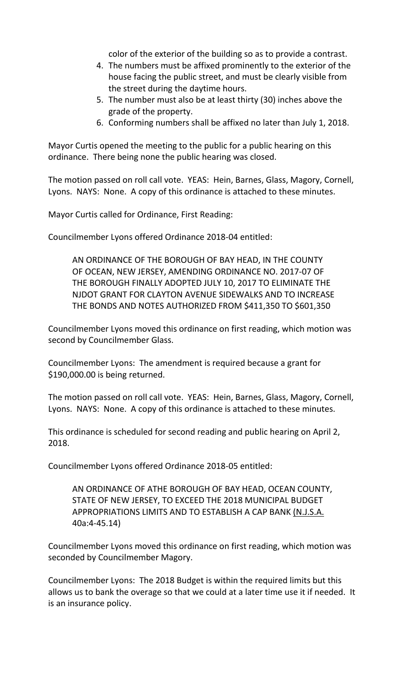color of the exterior of the building so as to provide a contrast.

- 4. The numbers must be affixed prominently to the exterior of the house facing the public street, and must be clearly visible from the street during the daytime hours.
- 5. The number must also be at least thirty (30) inches above the grade of the property.
- 6. Conforming numbers shall be affixed no later than July 1, 2018.

Mayor Curtis opened the meeting to the public for a public hearing on this ordinance. There being none the public hearing was closed.

The motion passed on roll call vote. YEAS: Hein, Barnes, Glass, Magory, Cornell, Lyons. NAYS: None. A copy of this ordinance is attached to these minutes.

Mayor Curtis called for Ordinance, First Reading:

Councilmember Lyons offered Ordinance 2018-04 entitled:

AN ORDINANCE OF THE BOROUGH OF BAY HEAD, IN THE COUNTY OF OCEAN, NEW JERSEY, AMENDING ORDINANCE NO. 2017-07 OF THE BOROUGH FINALLY ADOPTED JULY 10, 2017 TO ELIMINATE THE NJDOT GRANT FOR CLAYTON AVENUE SIDEWALKS AND TO INCREASE THE BONDS AND NOTES AUTHORIZED FROM \$411,350 TO \$601,350

Councilmember Lyons moved this ordinance on first reading, which motion was second by Councilmember Glass.

Councilmember Lyons: The amendment is required because a grant for \$190,000.00 is being returned.

The motion passed on roll call vote. YEAS: Hein, Barnes, Glass, Magory, Cornell, Lyons. NAYS: None. A copy of this ordinance is attached to these minutes.

This ordinance is scheduled for second reading and public hearing on April 2, 2018.

Councilmember Lyons offered Ordinance 2018-05 entitled:

AN ORDINANCE OF ATHE BOROUGH OF BAY HEAD, OCEAN COUNTY, STATE OF NEW JERSEY, TO EXCEED THE 2018 MUNICIPAL BUDGET APPROPRIATIONS LIMITS AND TO ESTABLISH A CAP BANK (N.J.S.A. 40a:4-45.14)

Councilmember Lyons moved this ordinance on first reading, which motion was seconded by Councilmember Magory.

Councilmember Lyons: The 2018 Budget is within the required limits but this allows us to bank the overage so that we could at a later time use it if needed. It is an insurance policy.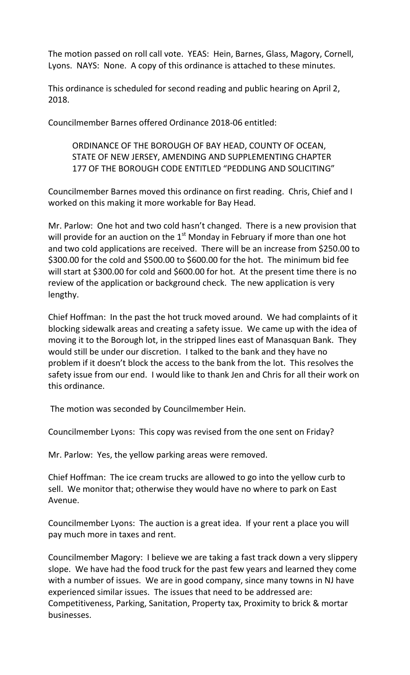The motion passed on roll call vote. YEAS: Hein, Barnes, Glass, Magory, Cornell, Lyons. NAYS: None. A copy of this ordinance is attached to these minutes.

This ordinance is scheduled for second reading and public hearing on April 2, 2018.

Councilmember Barnes offered Ordinance 2018-06 entitled:

## ORDINANCE OF THE BOROUGH OF BAY HEAD, COUNTY OF OCEAN, STATE OF NEW JERSEY, AMENDING AND SUPPLEMENTING CHAPTER 177 OF THE BOROUGH CODE ENTITLED "PEDDLING AND SOLICITING"

Councilmember Barnes moved this ordinance on first reading. Chris, Chief and I worked on this making it more workable for Bay Head.

Mr. Parlow: One hot and two cold hasn't changed. There is a new provision that will provide for an auction on the  $1<sup>st</sup>$  Monday in February if more than one hot and two cold applications are received. There will be an increase from \$250.00 to \$300.00 for the cold and \$500.00 to \$600.00 for the hot. The minimum bid fee will start at \$300.00 for cold and \$600.00 for hot. At the present time there is no review of the application or background check. The new application is very lengthy.

Chief Hoffman: In the past the hot truck moved around. We had complaints of it blocking sidewalk areas and creating a safety issue. We came up with the idea of moving it to the Borough lot, in the stripped lines east of Manasquan Bank. They would still be under our discretion. I talked to the bank and they have no problem if it doesn't block the access to the bank from the lot. This resolves the safety issue from our end. I would like to thank Jen and Chris for all their work on this ordinance.

The motion was seconded by Councilmember Hein.

Councilmember Lyons: This copy was revised from the one sent on Friday?

Mr. Parlow: Yes, the yellow parking areas were removed.

Chief Hoffman: The ice cream trucks are allowed to go into the yellow curb to sell. We monitor that; otherwise they would have no where to park on East Avenue.

Councilmember Lyons: The auction is a great idea. If your rent a place you will pay much more in taxes and rent.

Councilmember Magory: I believe we are taking a fast track down a very slippery slope. We have had the food truck for the past few years and learned they come with a number of issues. We are in good company, since many towns in NJ have experienced similar issues. The issues that need to be addressed are: Competitiveness, Parking, Sanitation, Property tax, Proximity to brick & mortar businesses.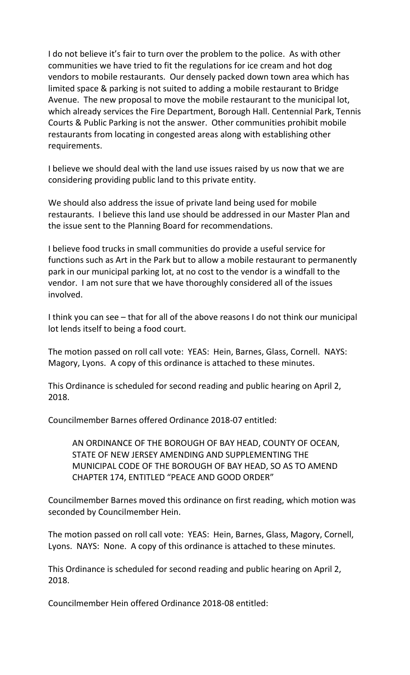I do not believe it's fair to turn over the problem to the police. As with other communities we have tried to fit the regulations for ice cream and hot dog vendors to mobile restaurants. Our densely packed down town area which has limited space & parking is not suited to adding a mobile restaurant to Bridge Avenue. The new proposal to move the mobile restaurant to the municipal lot, which already services the Fire Department, Borough Hall. Centennial Park, Tennis Courts & Public Parking is not the answer. Other communities prohibit mobile restaurants from locating in congested areas along with establishing other requirements.

I believe we should deal with the land use issues raised by us now that we are considering providing public land to this private entity.

We should also address the issue of private land being used for mobile restaurants. I believe this land use should be addressed in our Master Plan and the issue sent to the Planning Board for recommendations.

I believe food trucks in small communities do provide a useful service for functions such as Art in the Park but to allow a mobile restaurant to permanently park in our municipal parking lot, at no cost to the vendor is a windfall to the vendor. I am not sure that we have thoroughly considered all of the issues involved.

I think you can see – that for all of the above reasons I do not think our municipal lot lends itself to being a food court.

The motion passed on roll call vote: YEAS: Hein, Barnes, Glass, Cornell. NAYS: Magory, Lyons. A copy of this ordinance is attached to these minutes.

This Ordinance is scheduled for second reading and public hearing on April 2, 2018.

Councilmember Barnes offered Ordinance 2018-07 entitled:

AN ORDINANCE OF THE BOROUGH OF BAY HEAD, COUNTY OF OCEAN, STATE OF NEW JERSEY AMENDING AND SUPPLEMENTING THE MUNICIPAL CODE OF THE BOROUGH OF BAY HEAD, SO AS TO AMEND CHAPTER 174, ENTITLED "PEACE AND GOOD ORDER"

Councilmember Barnes moved this ordinance on first reading, which motion was seconded by Councilmember Hein.

The motion passed on roll call vote: YEAS: Hein, Barnes, Glass, Magory, Cornell, Lyons. NAYS: None. A copy of this ordinance is attached to these minutes.

This Ordinance is scheduled for second reading and public hearing on April 2, 2018.

Councilmember Hein offered Ordinance 2018-08 entitled: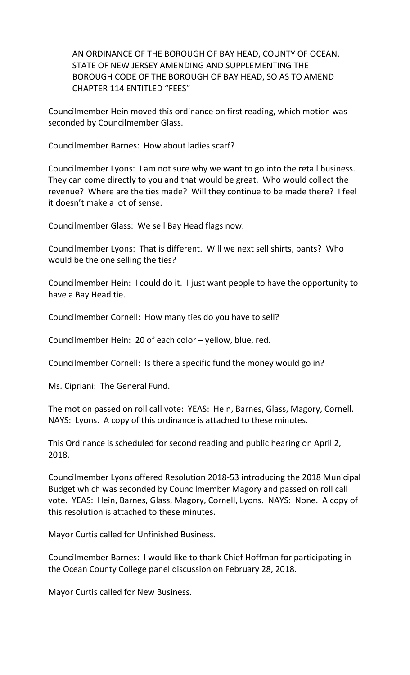AN ORDINANCE OF THE BOROUGH OF BAY HEAD, COUNTY OF OCEAN, STATE OF NEW JERSEY AMENDING AND SUPPLEMENTING THE BOROUGH CODE OF THE BOROUGH OF BAY HEAD, SO AS TO AMEND CHAPTER 114 ENTITLED "FEES"

Councilmember Hein moved this ordinance on first reading, which motion was seconded by Councilmember Glass.

Councilmember Barnes: How about ladies scarf?

Councilmember Lyons: I am not sure why we want to go into the retail business. They can come directly to you and that would be great. Who would collect the revenue? Where are the ties made? Will they continue to be made there? I feel it doesn't make a lot of sense.

Councilmember Glass: We sell Bay Head flags now.

Councilmember Lyons: That is different. Will we next sell shirts, pants? Who would be the one selling the ties?

Councilmember Hein: I could do it. I just want people to have the opportunity to have a Bay Head tie.

Councilmember Cornell: How many ties do you have to sell?

Councilmember Hein: 20 of each color – yellow, blue, red.

Councilmember Cornell: Is there a specific fund the money would go in?

Ms. Cipriani: The General Fund.

The motion passed on roll call vote: YEAS: Hein, Barnes, Glass, Magory, Cornell. NAYS: Lyons. A copy of this ordinance is attached to these minutes.

This Ordinance is scheduled for second reading and public hearing on April 2, 2018.

Councilmember Lyons offered Resolution 2018-53 introducing the 2018 Municipal Budget which was seconded by Councilmember Magory and passed on roll call vote. YEAS: Hein, Barnes, Glass, Magory, Cornell, Lyons. NAYS: None. A copy of this resolution is attached to these minutes.

Mayor Curtis called for Unfinished Business.

Councilmember Barnes: I would like to thank Chief Hoffman for participating in the Ocean County College panel discussion on February 28, 2018.

Mayor Curtis called for New Business.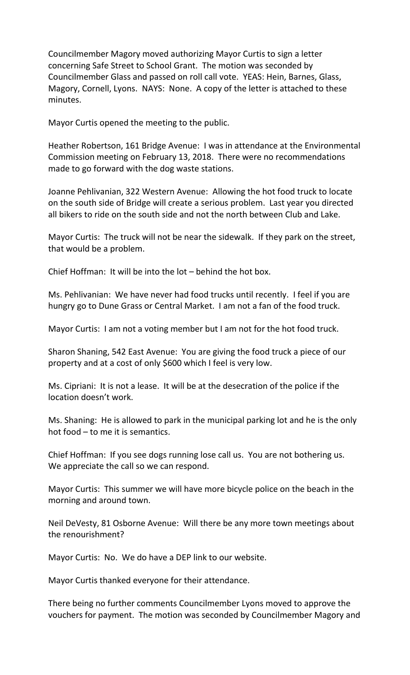Councilmember Magory moved authorizing Mayor Curtis to sign a letter concerning Safe Street to School Grant. The motion was seconded by Councilmember Glass and passed on roll call vote. YEAS: Hein, Barnes, Glass, Magory, Cornell, Lyons. NAYS: None. A copy of the letter is attached to these minutes.

Mayor Curtis opened the meeting to the public.

Heather Robertson, 161 Bridge Avenue: I was in attendance at the Environmental Commission meeting on February 13, 2018. There were no recommendations made to go forward with the dog waste stations.

Joanne Pehlivanian, 322 Western Avenue: Allowing the hot food truck to locate on the south side of Bridge will create a serious problem. Last year you directed all bikers to ride on the south side and not the north between Club and Lake.

Mayor Curtis: The truck will not be near the sidewalk. If they park on the street, that would be a problem.

Chief Hoffman: It will be into the lot – behind the hot box.

Ms. Pehlivanian: We have never had food trucks until recently. I feel if you are hungry go to Dune Grass or Central Market. I am not a fan of the food truck.

Mayor Curtis: I am not a voting member but I am not for the hot food truck.

Sharon Shaning, 542 East Avenue: You are giving the food truck a piece of our property and at a cost of only \$600 which I feel is very low.

Ms. Cipriani: It is not a lease. It will be at the desecration of the police if the location doesn't work.

Ms. Shaning: He is allowed to park in the municipal parking lot and he is the only hot food – to me it is semantics.

Chief Hoffman: If you see dogs running lose call us. You are not bothering us. We appreciate the call so we can respond.

Mayor Curtis: This summer we will have more bicycle police on the beach in the morning and around town.

Neil DeVesty, 81 Osborne Avenue: Will there be any more town meetings about the renourishment?

Mayor Curtis: No. We do have a DEP link to our website.

Mayor Curtis thanked everyone for their attendance.

There being no further comments Councilmember Lyons moved to approve the vouchers for payment. The motion was seconded by Councilmember Magory and